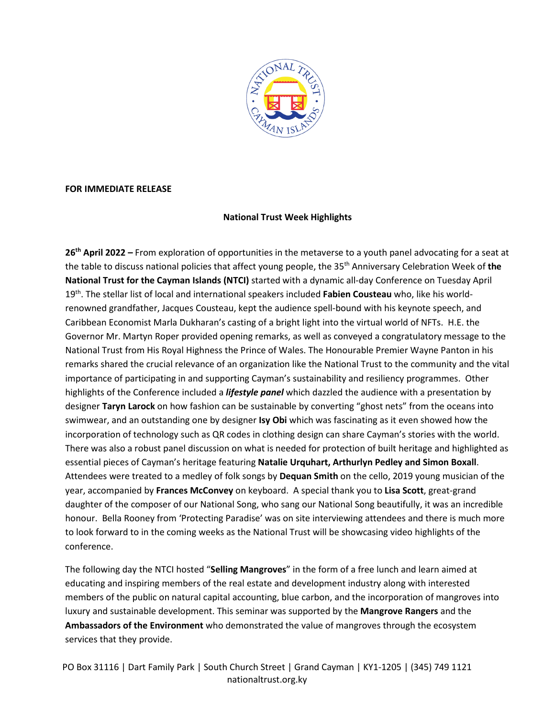

#### **FOR IMMEDIATE RELEASE**

### **National Trust Week Highlights**

**26th April 2022 –** From exploration of opportunities in the metaverse to a youth panel advocating for a seat at the table to discuss national policies that affect young people, the 35th Anniversary Celebration Week of **the National Trust for the Cayman Islands (NTCI)** started with a dynamic all-day Conference on Tuesday April 19th. The stellar list of local and international speakers included **Fabien Cousteau** who, like his worldrenowned grandfather, Jacques Cousteau, kept the audience spell-bound with his keynote speech, and Caribbean Economist Marla Dukharan's casting of a bright light into the virtual world of NFTs. H.E. the Governor Mr. Martyn Roper provided opening remarks, as well as conveyed a congratulatory message to the National Trust from His Royal Highness the Prince of Wales. The Honourable Premier Wayne Panton in his remarks shared the crucial relevance of an organization like the National Trust to the community and the vital importance of participating in and supporting Cayman's sustainability and resiliency programmes. Other highlights of the Conference included a *lifestyle panel* which dazzled the audience with a presentation by designer **Taryn Larock** on how fashion can be sustainable by converting "ghost nets" from the oceans into swimwear, and an outstanding one by designer **Isy Obi** which was fascinating as it even showed how the incorporation of technology such as QR codes in clothing design can share Cayman's stories with the world. There was also a robust panel discussion on what is needed for protection of built heritage and highlighted as essential pieces of Cayman's heritage featuring **Natalie Urquhart, Arthurlyn Pedley and Simon Boxall**. Attendees were treated to a medley of folk songs by **Dequan Smith** on the cello, 2019 young musician of the year, accompanied by **Frances McConvey** on keyboard. A special thank you to **Lisa Scott**, great-grand daughter of the composer of our National Song, who sang our National Song beautifully, it was an incredible honour. Bella Rooney from 'Protecting Paradise' was on site interviewing attendees and there is much more to look forward to in the coming weeks as the National Trust will be showcasing video highlights of the conference.

The following day the NTCI hosted "**Selling Mangroves**" in the form of a free lunch and learn aimed at educating and inspiring members of the real estate and development industry along with interested members of the public on natural capital accounting, blue carbon, and the incorporation of mangroves into luxury and sustainable development. This seminar was supported by the **Mangrove Rangers** and the **Ambassadors of the Environment** who demonstrated the value of mangroves through the ecosystem services that they provide.

PO Box 31116 | Dart Family Park | South Church Street | Grand Cayman | KY1-1205 | (345) 749 1121 nationaltrust.org.ky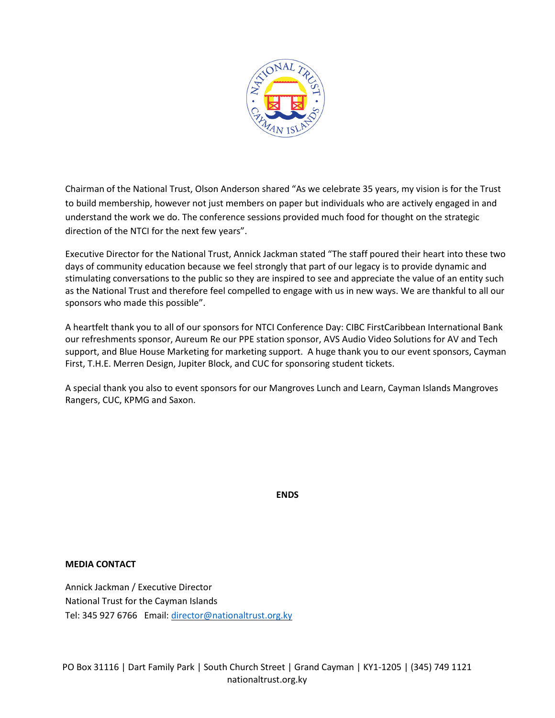

Chairman of the National Trust, Olson Anderson shared "As we celebrate 35 years, my vision is for the Trust to build membership, however not just members on paper but individuals who are actively engaged in and understand the work we do. The conference sessions provided much food for thought on the strategic direction of the NTCI for the next few years".

Executive Director for the National Trust, Annick Jackman stated "The staff poured their heart into these two days of community education because we feel strongly that part of our legacy is to provide dynamic and stimulating conversations to the public so they are inspired to see and appreciate the value of an entity such as the National Trust and therefore feel compelled to engage with us in new ways. We are thankful to all our sponsors who made this possible".

A heartfelt thank you to all of our sponsors for NTCI Conference Day: CIBC FirstCaribbean International Bank our refreshments sponsor, Aureum Re our PPE station sponsor, AVS Audio Video Solutions for AV and Tech support, and Blue House Marketing for marketing support. A huge thank you to our event sponsors, Cayman First, T.H.E. Merren Design, Jupiter Block, and CUC for sponsoring student tickets.

A special thank you also to event sponsors for our Mangroves Lunch and Learn, Cayman Islands Mangroves Rangers, CUC, KPMG and Saxon.

**ENDS**

### **MEDIA CONTACT**

Annick Jackman / Executive Director National Trust for the Cayman Islands Tel: 345 927 6766 Email: [director@nationaltrust.org.ky](mailto:director@nationaltrust.org.ky)